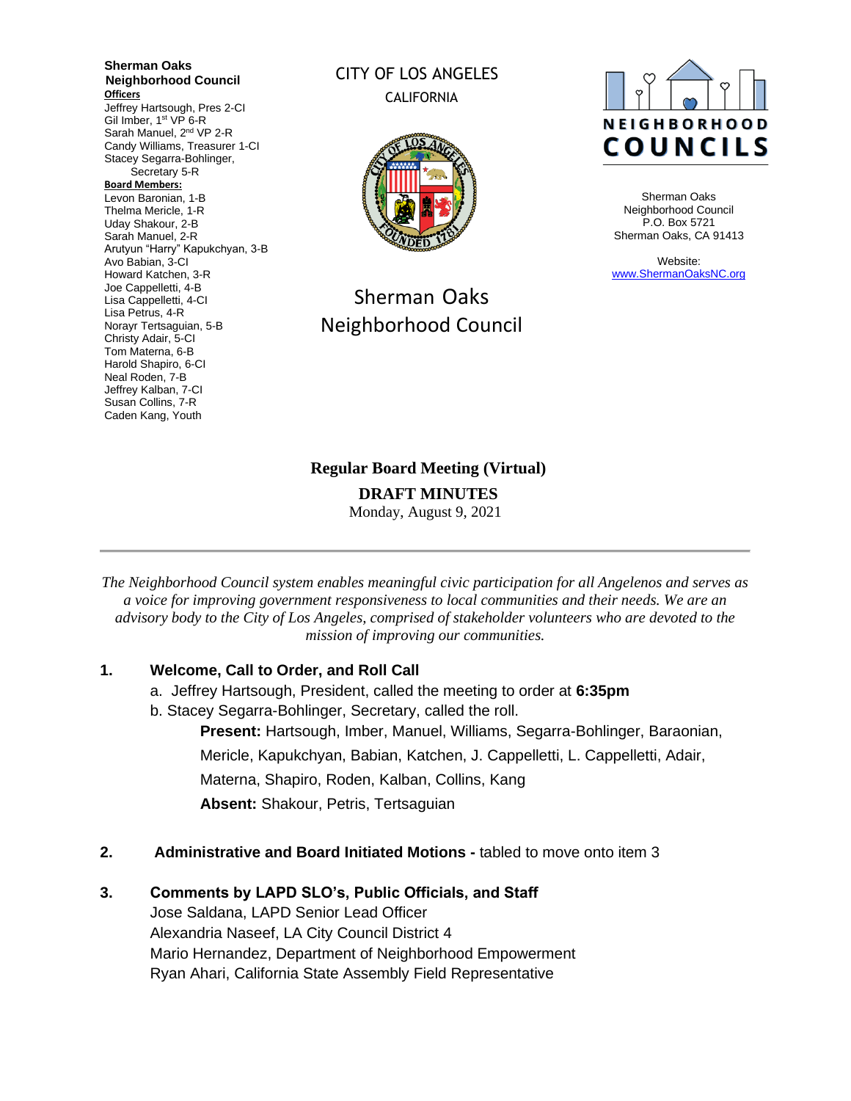**Sherman Oaks Neighborhood Council Officers** Jeffrey Hartsough, Pres 2-CI Gil Imber, 1<sup>st</sup> VP 6-R Sarah Manuel, 2<sup>nd</sup> VP 2-R Candy Williams, Treasurer 1-CI Stacey Segarra-Bohlinger, Secretary 5-R **Board Members:** Levon Baronian, 1-B Thelma Mericle, 1-R Uday Shakour, 2-B Sarah Manuel, 2-R Arutyun "Harry" Kapukchyan, 3-B Avo Babian, 3-CI Howard Katchen, 3-R Joe Cappelletti, 4-B Lisa Cappelletti, 4-CI Lisa Petrus, 4-R Norayr Tertsaguian, 5-B Christy Adair, 5-CI Tom Materna, 6-B Harold Shapiro, 6-CI Neal Roden, 7-B Jeffrey Kalban, 7-CI Susan Collins, 7-R Caden Kang, Youth

### CITY OF LOS ANGELES CALIFORNIA



# Sherman Oaks Neighborhood Council



Sherman Oaks Neighborhood Council P.O. Box 5721 Sherman Oaks, CA 91413

Website: [www.ShermanOaksNC.org](http://www.shermanoaksnc.org/)

**Regular Board Meeting (Virtual) DRAFT MINUTES**

Monday, August 9, 2021

*The Neighborhood Council system enables meaningful civic participation for all Angelenos and serves as a voice for improving government responsiveness to local communities and their needs. We are an advisory body to the City of Los Angeles, comprised of stakeholder volunteers who are devoted to the mission of improving our communities.*

### **1. Welcome, Call to Order, and Roll Call**

- a. Jeffrey Hartsough, President, called the meeting to order at **6:35pm**
- b. Stacey Segarra-Bohlinger, Secretary, called the roll.
	- **Present:** Hartsough, Imber, Manuel, Williams, Segarra-Bohlinger, Baraonian, Mericle, Kapukchyan, Babian, Katchen, J. Cappelletti, L. Cappelletti, Adair, Materna, Shapiro, Roden, Kalban, Collins, Kang **Absent:** Shakour, Petris, Tertsaguian
- **2. Administrative and Board Initiated Motions -** tabled to move onto item 3

### **3. Comments by LAPD SLO's, Public Officials, and Staff**

Jose Saldana, LAPD Senior Lead Officer Alexandria Naseef, LA City Council District 4 Mario Hernandez, Department of Neighborhood Empowerment Ryan Ahari, California State Assembly Field Representative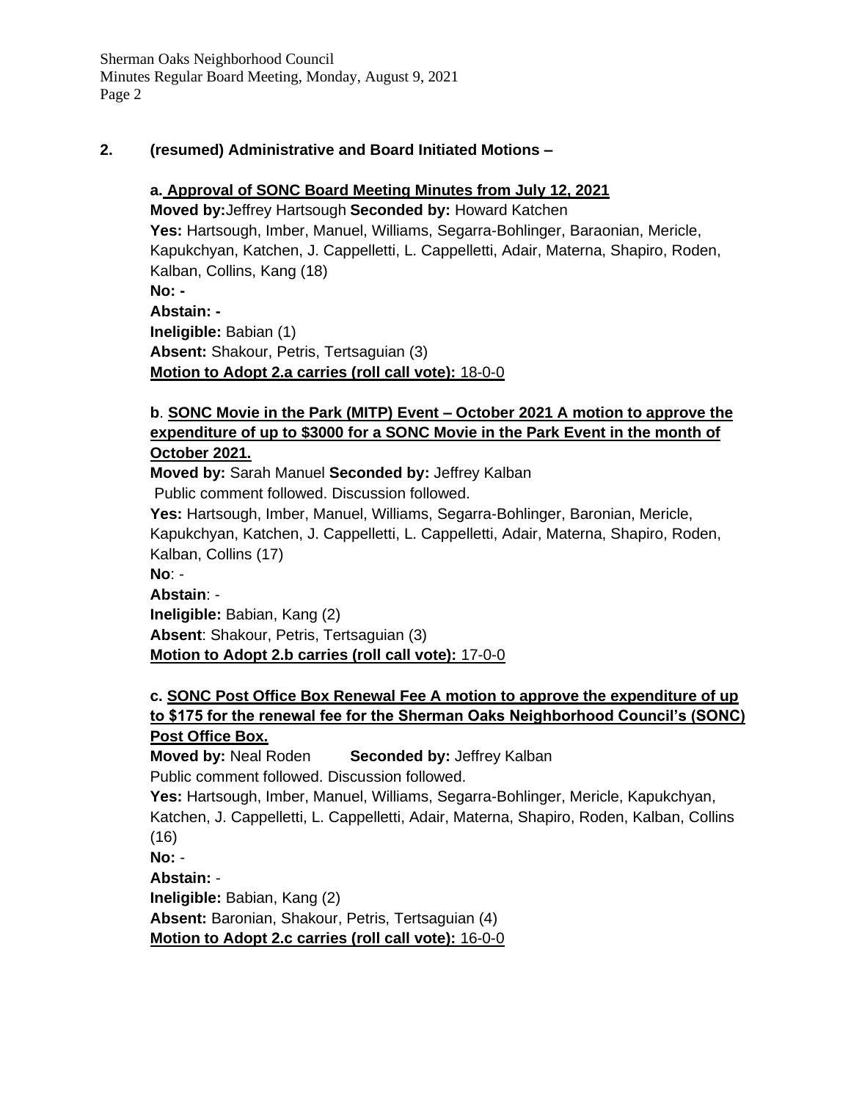Sherman Oaks Neighborhood Council Minutes Regular Board Meeting, Monday, August 9, 2021 Page 2

#### **2. (resumed) Administrative and Board Initiated Motions –**

### **a. Approval of SONC Board Meeting Minutes from July 12, 2021**

**Moved by:**Jeffrey Hartsough **Seconded by:** Howard Katchen **Yes:** Hartsough, Imber, Manuel, Williams, Segarra-Bohlinger, Baraonian, Mericle, Kapukchyan, Katchen, J. Cappelletti, L. Cappelletti, Adair, Materna, Shapiro, Roden, Kalban, Collins, Kang (18) **No: - Abstain: - Ineligible:** Babian (1) **Absent:** Shakour, Petris, Tertsaguian (3) **Motion to Adopt 2.a carries (roll call vote):** 18-0-0

### **b**. **SONC Movie in the Park (MITP) Event – October 2021 A motion to approve the expenditure of up to \$3000 for a SONC Movie in the Park Event in the month of October 2021.**

**Moved by:** Sarah Manuel **Seconded by:** Jeffrey Kalban Public comment followed. Discussion followed.

**Yes:** Hartsough, Imber, Manuel, Williams, Segarra-Bohlinger, Baronian, Mericle, Kapukchyan, Katchen, J. Cappelletti, L. Cappelletti, Adair, Materna, Shapiro, Roden, Kalban, Collins (17)

**No**: -

**Abstain**: -

**Ineligible:** Babian, Kang (2)

**Absent**: Shakour, Petris, Tertsaguian (3)

**Motion to Adopt 2.b carries (roll call vote):** 17-0-0

### **c. SONC Post Office Box Renewal Fee A motion to approve the expenditure of up to \$175 for the renewal fee for the Sherman Oaks Neighborhood Council's (SONC) Post Office Box.**

**Moved by:** Neal Roden **Seconded by:** Jeffrey Kalban Public comment followed. Discussion followed.

**Yes:** Hartsough, Imber, Manuel, Williams, Segarra-Bohlinger, Mericle, Kapukchyan, Katchen, J. Cappelletti, L. Cappelletti, Adair, Materna, Shapiro, Roden, Kalban, Collins (16) **No:** -

**Abstain:** - **Ineligible:** Babian, Kang (2) **Absent:** Baronian, Shakour, Petris, Tertsaguian (4) **Motion to Adopt 2.c carries (roll call vote):** 16-0-0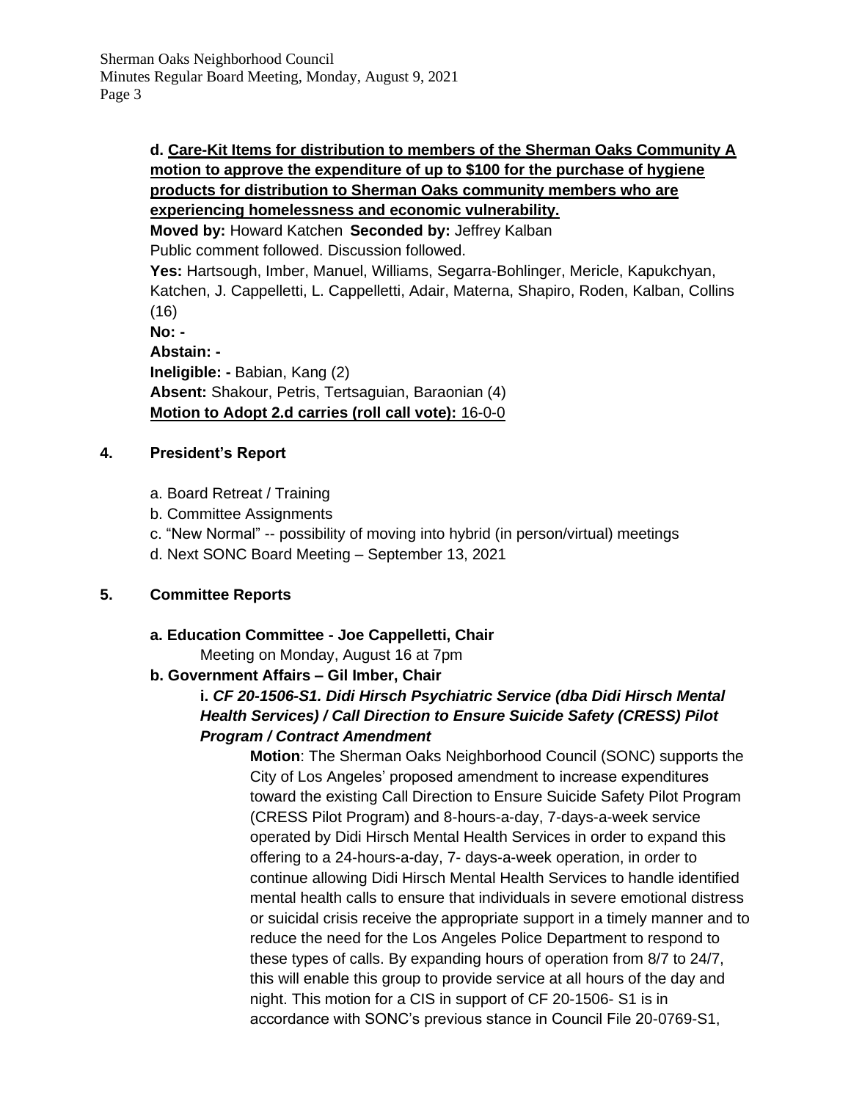### **d. Care-Kit Items for distribution to members of the Sherman Oaks Community A motion to approve the expenditure of up to \$100 for the purchase of hygiene products for distribution to Sherman Oaks community members who are experiencing homelessness and economic vulnerability.**

**Moved by:** Howard Katchen **Seconded by:** Jeffrey Kalban

Public comment followed. Discussion followed.

**Yes:** Hartsough, Imber, Manuel, Williams, Segarra-Bohlinger, Mericle, Kapukchyan, Katchen, J. Cappelletti, L. Cappelletti, Adair, Materna, Shapiro, Roden, Kalban, Collins (16)

**No: - Abstain: - Ineligible: -** Babian, Kang (2) **Absent:** Shakour, Petris, Tertsaguian, Baraonian (4) **Motion to Adopt 2.d carries (roll call vote):** 16-0-0

### **4. President's Report**

- a. Board Retreat / Training
- b. Committee Assignments
- c. "New Normal" -- possibility of moving into hybrid (in person/virtual) meetings
- d. Next SONC Board Meeting September 13, 2021

### **5. Committee Reports**

**a. Education Committee - Joe Cappelletti, Chair** 

Meeting on Monday, August 16 at 7pm

## **b. Government Affairs – Gil Imber, Chair**

### **i.** *CF 20-1506-S1. Didi Hirsch Psychiatric Service (dba Didi Hirsch Mental Health Services) / Call Direction to Ensure Suicide Safety (CRESS) Pilot Program / Contract Amendment*

**Motion**: The Sherman Oaks Neighborhood Council (SONC) supports the City of Los Angeles' proposed amendment to increase expenditures toward the existing Call Direction to Ensure Suicide Safety Pilot Program (CRESS Pilot Program) and 8-hours-a-day, 7-days-a-week service operated by Didi Hirsch Mental Health Services in order to expand this offering to a 24-hours-a-day, 7- days-a-week operation, in order to continue allowing Didi Hirsch Mental Health Services to handle identified mental health calls to ensure that individuals in severe emotional distress or suicidal crisis receive the appropriate support in a timely manner and to reduce the need for the Los Angeles Police Department to respond to these types of calls. By expanding hours of operation from 8/7 to 24/7, this will enable this group to provide service at all hours of the day and night. This motion for a CIS in support of CF 20-1506- S1 is in accordance with SONC's previous stance in Council File 20-0769-S1,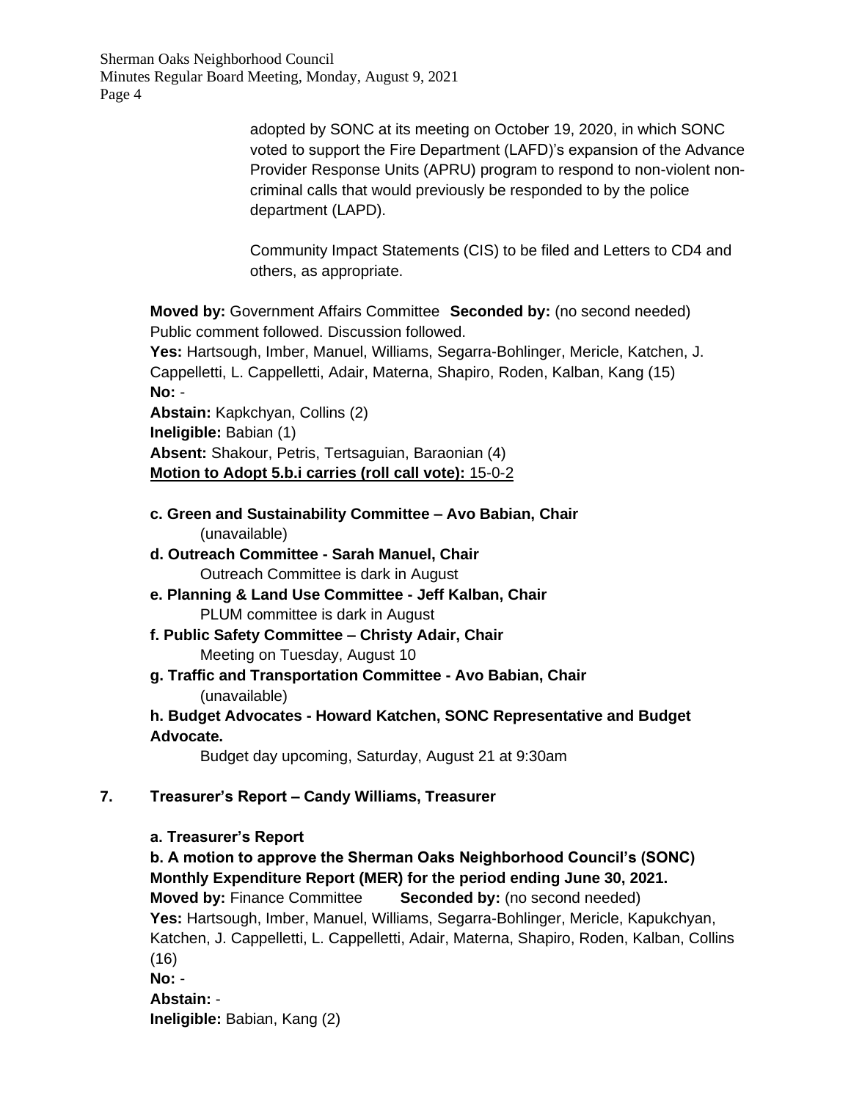Sherman Oaks Neighborhood Council Minutes Regular Board Meeting, Monday, August 9, 2021 Page 4

> adopted by SONC at its meeting on October 19, 2020, in which SONC voted to support the Fire Department (LAFD)'s expansion of the Advance Provider Response Units (APRU) program to respond to non-violent noncriminal calls that would previously be responded to by the police department (LAPD).

Community Impact Statements (CIS) to be filed and Letters to CD4 and others, as appropriate.

**Moved by:** Government Affairs Committee **Seconded by:** (no second needed) Public comment followed. Discussion followed.

**Yes:** Hartsough, Imber, Manuel, Williams, Segarra-Bohlinger, Mericle, Katchen, J. Cappelletti, L. Cappelletti, Adair, Materna, Shapiro, Roden, Kalban, Kang (15) **No:** -

**Abstain:** Kapkchyan, Collins (2) **Ineligible:** Babian (1) **Absent:** Shakour, Petris, Tertsaguian, Baraonian (4) **Motion to Adopt 5.b.i carries (roll call vote):** 15-0-2

- **c. Green and Sustainability Committee – Avo Babian, Chair**  (unavailable)
- **d. Outreach Committee - Sarah Manuel, Chair**  Outreach Committee is dark in August
- **e. Planning & Land Use Committee - Jeff Kalban, Chair**  PLUM committee is dark in August
- **f. Public Safety Committee – Christy Adair, Chair**  Meeting on Tuesday, August 10
- **g. Traffic and Transportation Committee - Avo Babian, Chair**  (unavailable)

**h. Budget Advocates - Howard Katchen, SONC Representative and Budget Advocate.**

Budget day upcoming, Saturday, August 21 at 9:30am

### **7. Treasurer's Report – Candy Williams, Treasurer**

### **a. Treasurer's Report**

**b. A motion to approve the Sherman Oaks Neighborhood Council's (SONC) Monthly Expenditure Report (MER) for the period ending June 30, 2021. Moved by:** Finance Committee **Seconded by:** (no second needed) **Yes:** Hartsough, Imber, Manuel, Williams, Segarra-Bohlinger, Mericle, Kapukchyan, Katchen, J. Cappelletti, L. Cappelletti, Adair, Materna, Shapiro, Roden, Kalban, Collins (16) **No:** - **Abstain:** - **Ineligible:** Babian, Kang (2)